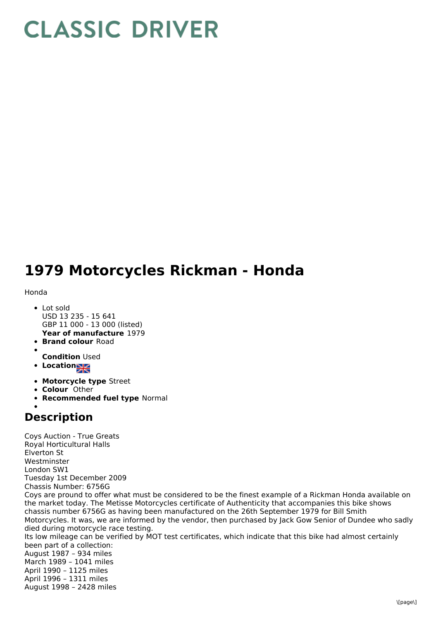## **CLASSIC DRIVER**

## **1979 Motorcycles Rickman - Honda**

## Honda

- **Year of manufacture** 1979 Lot sold USD 13 235 - 15 641 GBP 11 000 - 13 000 (listed)
- **Brand colour** Road
- 
- **Condition** Used
- **•** Location
- **Motorcycle type** Street
- **Colour** Other
- **Recommended fuel type** Normal

## **Description**

Coys Auction - True Greats Royal Horticultural Halls Elverton St Westminster London SW1 Tuesday 1st December 2009 Chassis Number: 6756G Coys are pround to offer what must be considered to be the finest example of a Rickman Honda available on the market today. The Metisse Motorcycles certificate of Authenticity that accompanies this bike shows chassis number 6756G as having been manufactured on the 26th September 1979 for Bill Smith Motorcycles. It was, we are informed by the vendor, then purchased by Jack Gow Senior of Dundee who sadly died during motorcycle race testing. Its low mileage can be verified by MOT test certificates, which indicate that this bike had almost certainly been part of a collection: August 1987 – 934 miles March 1989 – 1041 miles April 1990 – 1125 miles April 1996 – 1311 miles August 1998 – 2428 miles